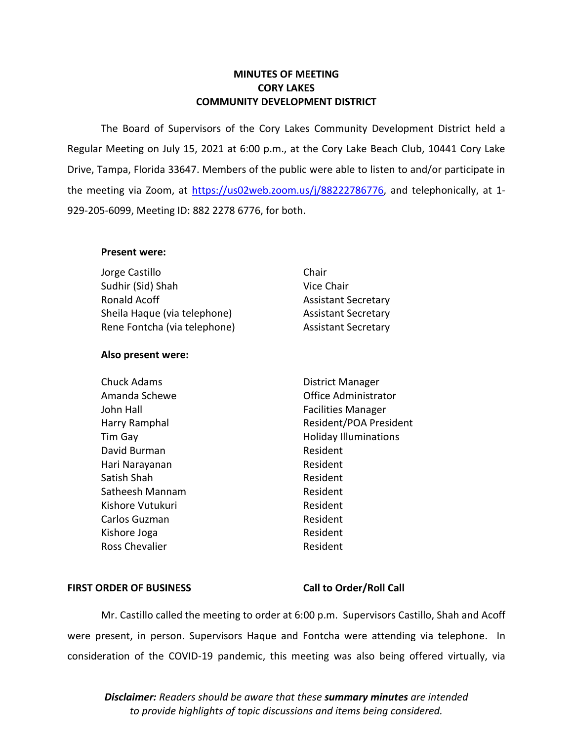## **MINUTES OF MEETING CORY LAKES COMMUNITY DEVELOPMENT DISTRICT**

 The Board of Supervisors of the Cory Lakes Community Development District held a Regular Meeting on July 15, 2021 at 6:00 p.m., at the Cory Lake Beach Club, 10441 Cory Lake Drive, Tampa, Florida 33647. Members of the public were able to listen to and/or participate in the meeting via Zoom, at [https://us02web.zoom.us/j/88](https://us02web.zoom.us/j/8)222786776, and telephonically, at 1-929-205-6099, Meeting ID: 882 2278 6776, for both.

## **Present were:**

| Jorge Castillo               | Chair                      |
|------------------------------|----------------------------|
| Sudhir (Sid) Shah            | Vice Chair                 |
| Ronald Acoff                 | <b>Assistant Secretary</b> |
| Sheila Haque (via telephone) | <b>Assistant Secretary</b> |
| Rene Fontcha (via telephone) | <b>Assistant Secretary</b> |

## **Also present were:**

| <b>Chuck Adams</b> | District Manager             |
|--------------------|------------------------------|
| Amanda Schewe      | Office Administrator         |
| John Hall          | <b>Facilities Manager</b>    |
| Harry Ramphal      | Resident/POA President       |
| Tim Gay            | <b>Holiday Illuminations</b> |
| David Burman       | Resident                     |
| Hari Narayanan     | Resident                     |
| Satish Shah        | Resident                     |
| Satheesh Mannam    | Resident                     |
| Kishore Vutukuri   | Resident                     |
| Carlos Guzman      | Resident                     |
| Kishore Joga       | Resident                     |
| Ross Chevalier     | Resident                     |

#### FIRST ORDER OF BUSINESS Call to Order/Roll Call

 Mr. Castillo called the meeting to order at 6:00 p.m. Supervisors Castillo, Shah and Acoff were present, in person. Supervisors Haque and Fontcha were attending via telephone. In consideration of the COVID-19 pandemic, this meeting was also being offered virtually, via

*Disclaimer: Readers should be aware that these summary minutes are intended to provide highlights of topic discussions and items being considered.*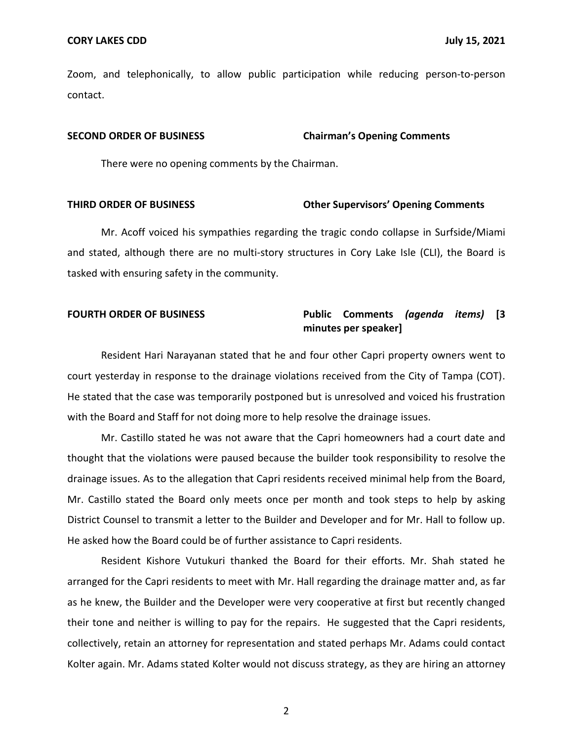Zoom, and telephonically, to allow public participation while reducing person-to-person contact.

#### **SECOND ORDER OF BUSINESS Chairman's Opening Comments**

There were no opening comments by the Chairman.

#### **THIRD ORDER OF BUSINESS Other Supervisors' Opening Comments**

 Mr. Acoff voiced his sympathies regarding the tragic condo collapse in Surfside/Miami tasked with ensuring safety in the community. and stated, although there are no multi-story structures in Cory Lake Isle (CLI), the Board is

## **FOURTH ORDER OF BUSINESS Public Comments** *(agenda items)* **[3 minutes per speaker]**

 court yesterday in response to the drainage violations received from the City of Tampa (COT). He stated that the case was temporarily postponed but is unresolved and voiced his frustration with the Board and Staff for not doing more to help resolve the drainage issues. Resident Hari Narayanan stated that he and four other Capri property owners went to

 Mr. Castillo stated he was not aware that the Capri homeowners had a court date and thought that the violations were paused because the builder took responsibility to resolve the drainage issues. As to the allegation that Capri residents received minimal help from the Board, Mr. Castillo stated the Board only meets once per month and took steps to help by asking District Counsel to transmit a letter to the Builder and Developer and for Mr. Hall to follow up. He asked how the Board could be of further assistance to Capri residents.

 Resident Kishore Vutukuri thanked the Board for their efforts. Mr. Shah stated he arranged for the Capri residents to meet with Mr. Hall regarding the drainage matter and, as far as he knew, the Builder and the Developer were very cooperative at first but recently changed their tone and neither is willing to pay for the repairs. He suggested that the Capri residents, collectively, retain an attorney for representation and stated perhaps Mr. Adams could contact Kolter again. Mr. Adams stated Kolter would not discuss strategy, as they are hiring an attorney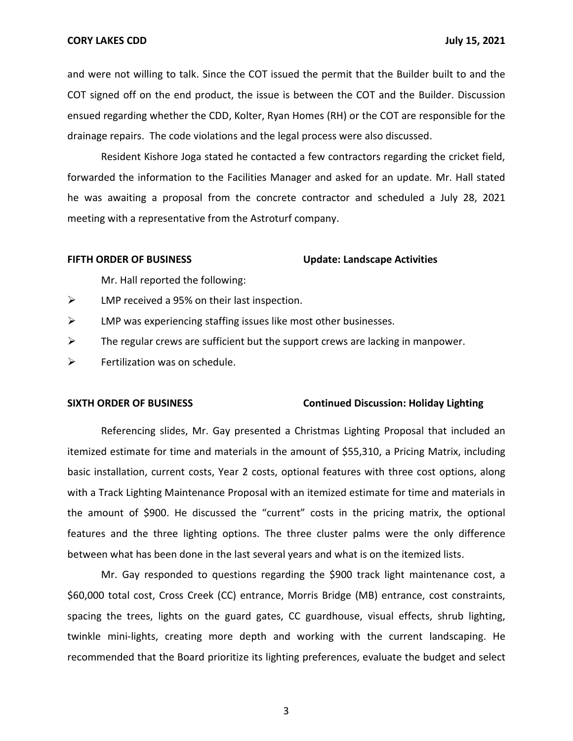and were not willing to talk. Since the COT issued the permit that the Builder built to and the COT signed off on the end product, the issue is between the COT and the Builder. Discussion ensued regarding whether the CDD, Kolter, Ryan Homes (RH) or the COT are responsible for the drainage repairs. The code violations and the legal process were also discussed.

 Resident Kishore Joga stated he contacted a few contractors regarding the cricket field, forwarded the information to the Facilities Manager and asked for an update. Mr. Hall stated meeting with a representative from the Astroturf company. he was awaiting a proposal from the concrete contractor and scheduled a July 28, 2021

#### FIFTH ORDER OF BUSINESS Update: Landscape Activities

Mr. Hall reported the following:

- $\triangleright$  LMP received a 95% on their last inspection.
- $\triangleright$  LMP was experiencing staffing issues like most other businesses.
- $\triangleright$  The regular crews are sufficient but the support crews are lacking in manpower.
- $\triangleright$  Fertilization was on schedule.

#### **SIXTH ORDER OF BUSINESS Continued Discussion: Holiday Lighting**

 itemized estimate for time and materials in the amount of \$55,310, a Pricing Matrix, including with a Track Lighting Maintenance Proposal with an itemized estimate for time and materials in the amount of \$900. He discussed the "current" costs in the pricing matrix, the optional features and the three lighting options. The three cluster palms were the only difference between what has been done in the last several years and what is on the itemized lists. Referencing slides, Mr. Gay presented a Christmas Lighting Proposal that included an basic installation, current costs, Year 2 costs, optional features with three cost options, along

 Mr. Gay responded to questions regarding the \$900 track light maintenance cost, a \$60,000 total cost, Cross Creek (CC) entrance, Morris Bridge (MB) entrance, cost constraints, spacing the trees, lights on the guard gates, CC guardhouse, visual effects, shrub lighting, twinkle mini-lights, creating more depth and working with the current landscaping. He recommended that the Board prioritize its lighting preferences, evaluate the budget and select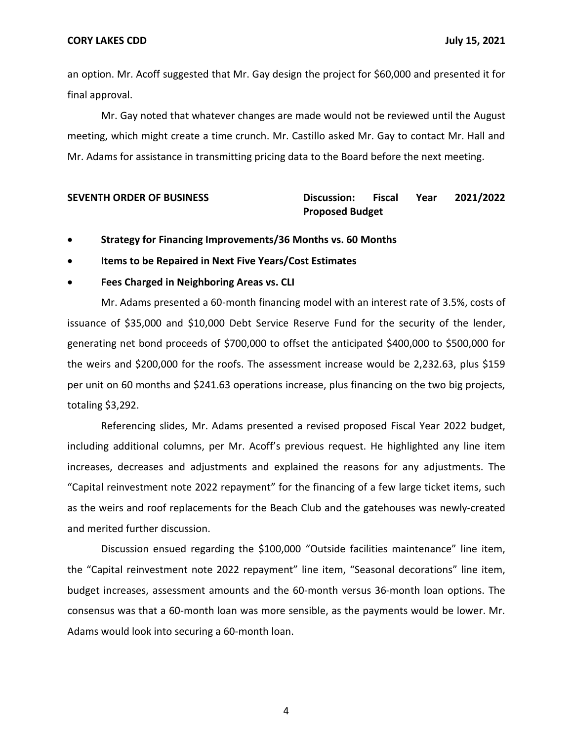an option. Mr. Acoff suggested that Mr. Gay design the project for \$60,000 and presented it for final approval.

 Mr. Gay noted that whatever changes are made would not be reviewed until the August meeting, which might create a time crunch. Mr. Castillo asked Mr. Gay to contact Mr. Hall and Mr. Adams for assistance in transmitting pricing data to the Board before the next meeting.

## **SEVENTH ORDER OF BUSINESS Discussion: Fiscal Year 2021/2022 Proposed Budget**

- **Strategy for Financing Improvements/36 Months vs. 60 Months**
- **Items to be Repaired in Next Five Years/Cost Estimates**

## • **Fees Charged in Neighboring Areas vs. CLI**

 Mr. Adams presented a 60-month financing model with an interest rate of 3.5%, costs of issuance of \$35,000 and \$10,000 Debt Service Reserve Fund for the security of the lender, generating net bond proceeds of \$700,000 to offset the anticipated \$400,000 to \$500,000 for the weirs and \$200,000 for the roofs. The assessment increase would be [2,232.63,](https://2,232.63) plus \$159 per unit on 60 months and \$241.63 operations increase, plus financing on the two big projects, totaling \$3,292.

 Referencing slides, Mr. Adams presented a revised proposed Fiscal Year 2022 budget, including additional columns, per Mr. Acoff's previous request. He highlighted any line item increases, decreases and adjustments and explained the reasons for any adjustments. The "Capital reinvestment note 2022 repayment" for the financing of a few large ticket items, such as the weirs and roof replacements for the Beach Club and the gatehouses was newly-created and merited further discussion.

 Discussion ensued regarding the \$100,000 "Outside facilities maintenance" line item, the "Capital reinvestment note 2022 repayment" line item, "Seasonal decorations" line item, consensus was that a 60-month loan was more sensible, as the payments would be lower. Mr. Adams would look into securing a 60-month loan. budget increases, assessment amounts and the 60-month versus 36-month loan options. The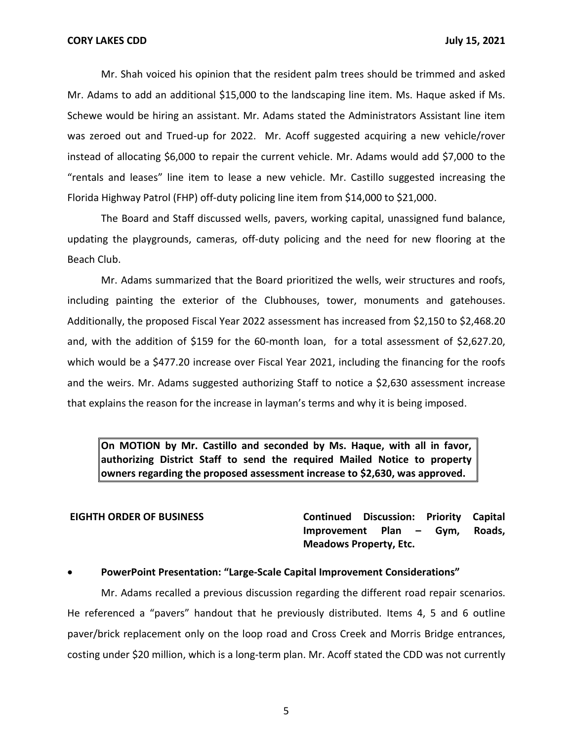Mr. Shah voiced his opinion that the resident palm trees should be trimmed and asked Mr. Adams to add an additional \$15,000 to the landscaping line item. Ms. Haque asked if Ms. Schewe would be hiring an assistant. Mr. Adams stated the Administrators Assistant line item was zeroed out and Trued-up for 2022. Mr. Acoff suggested acquiring a new vehicle/rover instead of allocating \$6,000 to repair the current vehicle. Mr. Adams would add \$7,000 to the Florida Highway Patrol (FHP) off-duty policing line item from \$14,000 to \$21,000. "rentals and leases" line item to lease a new vehicle. Mr. Castillo suggested increasing the

 The Board and Staff discussed wells, pavers, working capital, unassigned fund balance, updating the playgrounds, cameras, off-duty policing and the need for new flooring at the Beach Club.

 Mr. Adams summarized that the Board prioritized the wells, weir structures and roofs, including painting the exterior of the Clubhouses, tower, monuments and gatehouses. Additionally, the proposed Fiscal Year 2022 assessment has increased from \$2,150 to \$[2,468.20](https://2,468.20) which would be a \$477.20 increase over Fiscal Year 2021, including the financing for the roofs and, with the addition of \$159 for the 60-month loan, for a total assessment of \$[2,627.20](https://2,627.20), and the weirs. Mr. Adams suggested authorizing Staff to notice a \$2,630 assessment increase that explains the reason for the increase in layman's terms and why it is being imposed.

 **On MOTION by Mr. Castillo and seconded by Ms. Haque, with all in favor, authorizing District Staff to send the required Mailed Notice to property owners regarding the proposed assessment increase to \$2,630, was approved.** 

**EIGHTH ORDER OF BUSINESS Continued Discussion: Priority Capital Improvement Plan – Gym, Roads, Meadows Property, Etc.** 

### • **PowerPoint Presentation: "Large-Scale Capital Improvement Considerations"**

 Mr. Adams recalled a previous discussion regarding the different road repair scenarios. He referenced a "pavers" handout that he previously distributed. Items 4, 5 and 6 outline paver/brick replacement only on the loop road and Cross Creek and Morris Bridge entrances, costing under \$20 million, which is a long-term plan. Mr. Acoff stated the CDD was not currently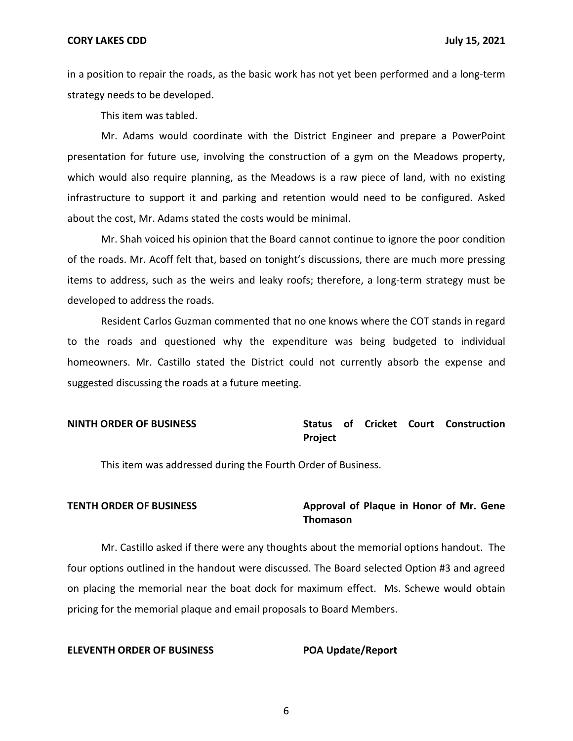**CORY LAKES CDD July 15, 2021** 

 in a position to repair the roads, as the basic work has not yet been performed and a long-term strategy needs to be developed.

This item was tabled.

 Mr. Adams would coordinate with the District Engineer and prepare a PowerPoint presentation for future use, involving the construction of a gym on the Meadows property, which would also require planning, as the Meadows is a raw piece of land, with no existing infrastructure to support it and parking and retention would need to be configured. Asked about the cost, Mr. Adams stated the costs would be minimal.

 Mr. Shah voiced his opinion that the Board cannot continue to ignore the poor condition of the roads. Mr. Acoff felt that, based on tonight's discussions, there are much more pressing items to address, such as the weirs and leaky roofs; therefore, a long-term strategy must be developed to address the roads.

 to the roads and questioned why the expenditure was being budgeted to individual homeowners. Mr. Castillo stated the District could not currently absorb the expense and suggested discussing the roads at a future meeting. Resident Carlos Guzman commented that no one knows where the COT stands in regard

## **NINTH ORDER OF BUSINESS Status of Cricket Court Construction Project**

This item was addressed during the Fourth Order of Business.

## **TENTH ORDER OF BUSINESS Approval of Plaque in Honor of Mr. Gene Thomason**

 Mr. Castillo asked if there were any thoughts about the memorial options handout. The four options outlined in the handout were discussed. The Board selected Option #3 and agreed on placing the memorial near the boat dock for maximum effect. Ms. Schewe would obtain pricing for the memorial plaque and email proposals to Board Members.

### **ELEVENTH ORDER OF BUSINESS POA Update/Report**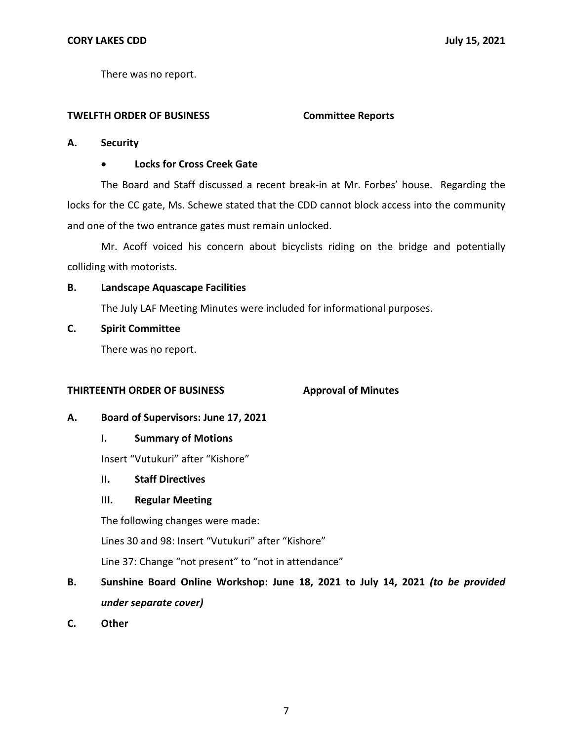There was no report.

## **TWELFTH ORDER OF BUSINESS Committee Reports**

## **A. Security**

## • **Locks for Cross Creek Gate**

 The Board and Staff discussed a recent break-in at Mr. Forbes' house. Regarding the locks for the CC gate, Ms. Schewe stated that the CDD cannot block access into the community and one of the two entrance gates must remain unlocked.

 Mr. Acoff voiced his concern about bicyclists riding on the bridge and potentially colliding with motorists.

## **B. Landscape Aquascape Facilities**

The July LAF Meeting Minutes were included for informational purposes.

## **C. Spirit Committee**

There was no report.

## **THIRTEENTH ORDER OF BUSINESS**

## **Approval of Minutes**

## **A. Board of Supervisors: June 17, 2021**

## **I. Summary of Motions**

Insert "Vutukuri" after "Kishore"

## **II. Staff Directives**

## **III. Regular Meeting**

The following changes were made:

Lines 30 and 98: Insert "Vutukuri" after "Kishore"

Line 37: Change "not present" to "not in attendance"

# **B. Sunshine Board Online Workshop: June 18, 2021 to July 14, 2021** *(to be provided under separate cover)*

**C. Other**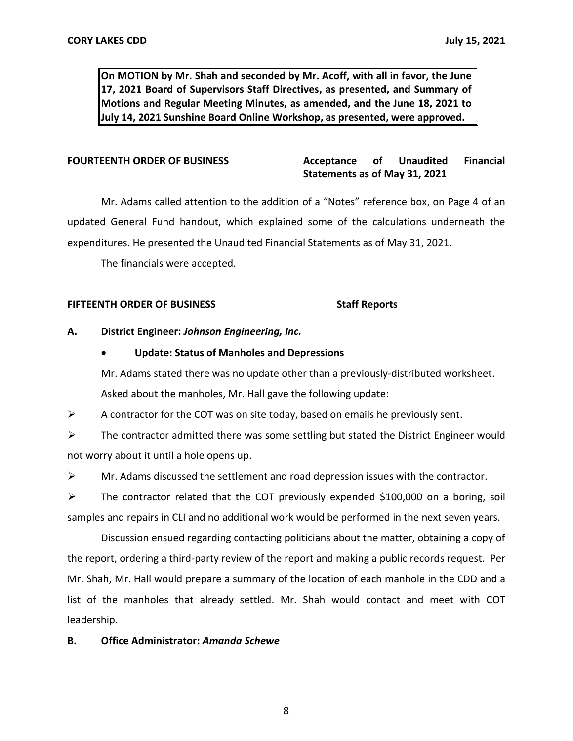**On MOTION by Mr. Shah and seconded by Mr. Acoff, with all in favor, the June 17, 2021 Board of Supervisors Staff Directives, as presented, and Summary of July 14, 2021 Sunshine Board Online Workshop, as presented, were approved. Motions and Regular Meeting Minutes, as amended, and the June 18, 2021 to** 

#### **Acceptance Statements as of May 31, 2021 FOURTEENTH ORDER OF BUSINESS Acceptance of Unaudited Financial**

 Mr. Adams called attention to the addition of a "Notes" reference box, on Page 4 of an updated General Fund handout, which explained some of the calculations underneath the expenditures. He presented the Unaudited Financial Statements as of May 31, 2021.

The financials were accepted.

### **FIFTEENTH ORDER OF BUSINESS** Staff Reports

## **A. District Engineer:** *Johnson Engineering, Inc.*

## • **Update: Status of Manholes and Depressions**

 Mr. Adams stated there was no update other than a previously-distributed worksheet. Asked about the manholes, Mr. Hall gave the following update:

 $\triangleright$  A contractor for the COT was on site today, based on emails he previously sent.

 not worry about it until a hole opens up.  $\triangleright$  The contractor admitted there was some settling but stated the District Engineer would

 $\triangleright$  Mr. Adams discussed the settlement and road depression issues with the contractor.

 ➢ The contractor related that the COT previously expended \$100,000 on a boring, soil samples and repairs in CLI and no additional work would be performed in the next seven years.

 Discussion ensued regarding contacting politicians about the matter, obtaining a copy of the report, ordering a third-party review of the report and making a public records request. Per Mr. Shah, Mr. Hall would prepare a summary of the location of each manhole in the CDD and a list of the manholes that already settled. Mr. Shah would contact and meet with COT leadership.

## **B. Office Administrator:** *Amanda Schewe*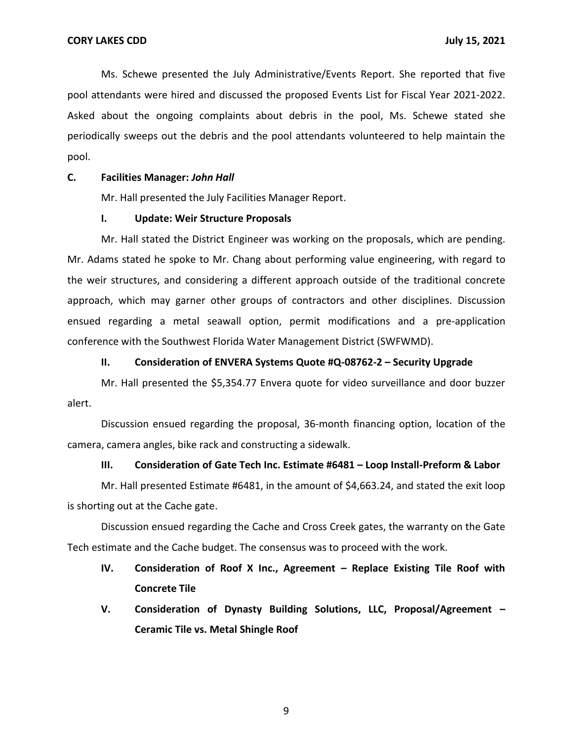Ms. Schewe presented the July Administrative/Events Report. She reported that five pool attendants were hired and discussed the proposed Events List for Fiscal Year 2021-2022. Asked about the ongoing complaints about debris in the pool, Ms. Schewe stated she periodically sweeps out the debris and the pool attendants volunteered to help maintain the pool.

## **C. Facilities Manager:** *John Hall*

Mr. Hall presented the July Facilities Manager Report.

### **I. Update: Weir Structure Proposals**

 Mr. Hall stated the District Engineer was working on the proposals, which are pending. Mr. Adams stated he spoke to Mr. Chang about performing value engineering, with regard to the weir structures, and considering a different approach outside of the traditional concrete approach, which may garner other groups of contractors and other disciplines. Discussion ensued regarding a metal seawall option, permit modifications and a pre-application conference with the Southwest Florida Water Management District (SWFWMD).

### **II. Consideration of ENVERA Systems Quote #Q-08762-2 – Security Upgrade**

Mr. Hall presented the \$[5,354.77](https://5,354.77) Envera quote for video surveillance and door buzzer alert.

 Discussion ensued regarding the proposal, 36-month financing option, location of the camera, camera angles, bike rack and constructing a sidewalk.

### **III. Consideration of Gate Tech Inc. Estimate #6481 – Loop Install-Preform & Labor**

 Mr. Hall presented Estimate #6481, in the amount of [\\$4,663.24,](https://4,663.24) and stated the exit loop is shorting out at the Cache gate.

 Discussion ensued regarding the Cache and Cross Creek gates, the warranty on the Gate Tech estimate and the Cache budget. The consensus was to proceed with the work.

- **IV. Consideration of Roof X Inc., Agreement – Replace Existing Tile Roof with Concrete Tile**
- **V. Consideration of Dynasty Building Solutions, LLC, Proposal/Agreement – Ceramic Tile vs. Metal Shingle Roof**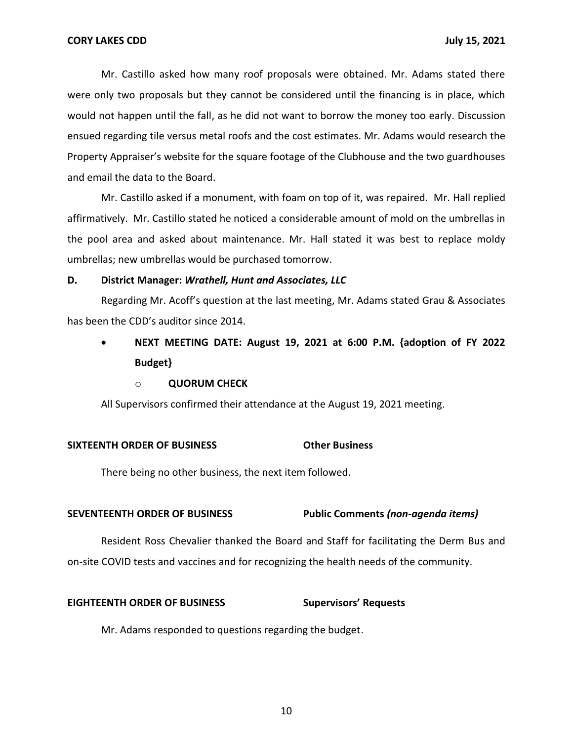Mr. Castillo asked how many roof proposals were obtained. Mr. Adams stated there were only two proposals but they cannot be considered until the financing is in place, which would not happen until the fall, as he did not want to borrow the money too early. Discussion Property Appraiser's website for the square footage of the Clubhouse and the two guardhouses ensued regarding tile versus metal roofs and the cost estimates. Mr. Adams would research the and email the data to the Board.

 Mr. Castillo asked if a monument, with foam on top of it, was repaired. Mr. Hall replied affirmatively. Mr. Castillo stated he noticed a considerable amount of mold on the umbrellas in the pool area and asked about maintenance. Mr. Hall stated it was best to replace moldy umbrellas; new umbrellas would be purchased tomorrow.

### **D. District Manager:** *Wrathell, Hunt and Associates, LLC*

Regarding Mr. Acoff's question at the last meeting, Mr. Adams stated Grau & Associates has been the CDD's auditor since 2014.

# • **NEXT MEETING DATE: August 19, 2021 at 6:00 P.M. {adoption of FY 2022 Budget}**

#### o **QUORUM CHECK**

All Supervisors confirmed their attendance at the August 19, 2021 meeting.

#### **SIXTEENTH ORDER OF BUSINESS Other Business**

There being no other business, the next item followed.

### **SEVENTEENTH ORDER OF BUSINESS Public Comments** *(non-agenda items)*

 Resident Ross Chevalier thanked the Board and Staff for facilitating the Derm Bus and on-site COVID tests and vaccines and for recognizing the health needs of the community.

#### **EIGHTEENTH ORDER OF BUSINESS Supervisors' Requests**

Mr. Adams responded to questions regarding the budget.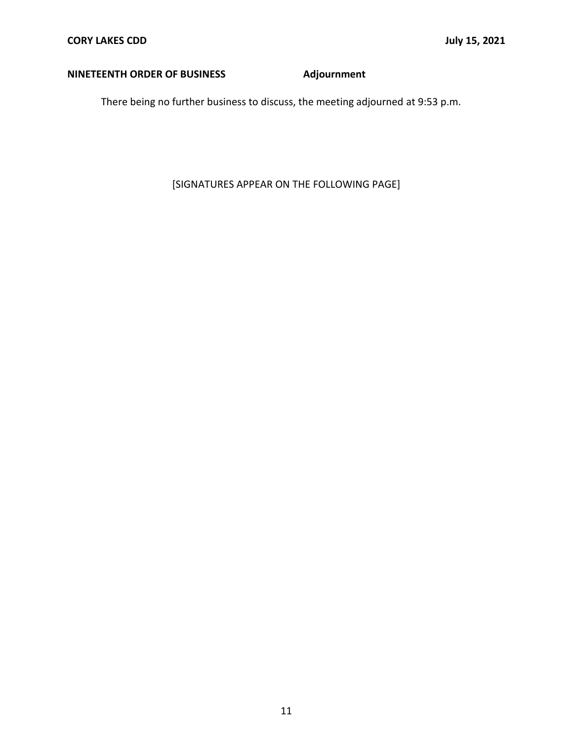## **NINETEENTH ORDER OF BUSINESS Adjournment**

There being no further business to discuss, the meeting adjourned at 9:53 p.m.

[SIGNATURES APPEAR ON THE FOLLOWING PAGE]